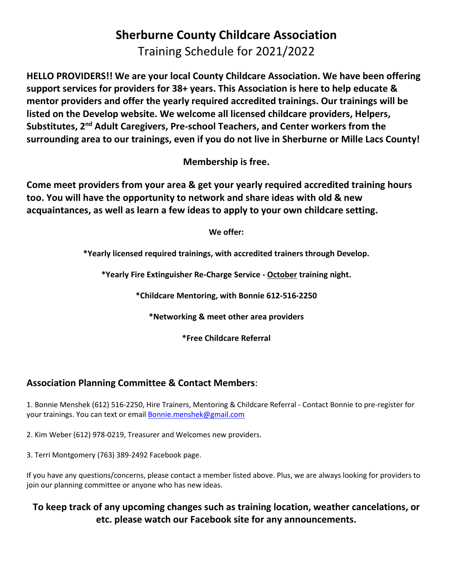## **Sherburne County Childcare Association**  Training Schedule for 2021/2022

**HELLO PROVIDERS!! We are your local County Childcare Association. We have been offering support services for providers for 38+ years. This Association is here to help educate & mentor providers and offer the yearly required accredited trainings. Our trainings will be listed on the Develop website. We welcome all licensed childcare providers, Helpers, Substitutes, 2nd Adult Caregivers, Pre-school Teachers, and Center workers from the surrounding area to our trainings, even if you do not live in Sherburne or Mille Lacs County!** 

**Membership is free.**

**Come meet providers from your area & get your yearly required accredited training hours too. You will have the opportunity to network and share ideas with old & new acquaintances, as well as learn a few ideas to apply to your own childcare setting.** 

**We offer:**

**\*Yearly licensed required trainings, with accredited trainers through Develop.**

**\*Yearly Fire Extinguisher Re-Charge Service - October training night.**

**\*Childcare Mentoring, with Bonnie 612-516-2250**

**\*Networking & meet other area providers**

**\*Free Childcare Referral**

#### **Association Planning Committee & Contact Members**:

1. Bonnie Menshek (612) 516-2250, Hire Trainers, Mentoring & Childcare Referral - Contact Bonnie to pre-register for your trainings. You can text or email **Bonnie.menshek@gmail.com** 

2. Kim Weber (612) 978-0219, Treasurer and Welcomes new providers.

3. Terri Montgomery (763) 389-2492 Facebook page.

If you have any questions/concerns, please contact a member listed above. Plus, we are always looking for providers to join our planning committee or anyone who has new ideas.

#### **To keep track of any upcoming changes such as training location, weather cancelations, or etc. please watch our Facebook site for any announcements.**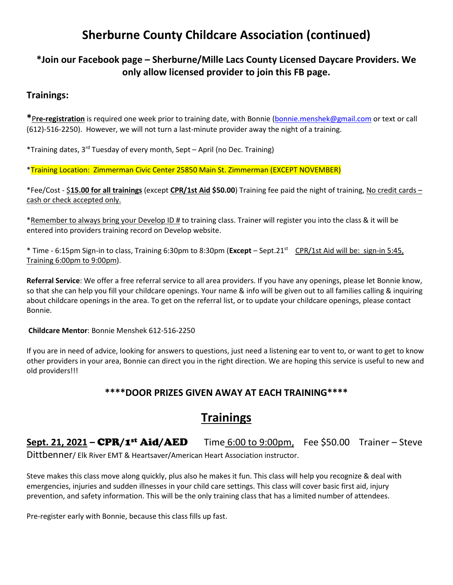## **Sherburne County Childcare Association (continued)**

#### **\*Join our Facebook page – Sherburne/Mille Lacs County Licensed Daycare Providers. We only allow licensed provider to join this FB page.**

#### **Trainings:**

**\***P**re-registration** is required one week prior to training date, with Bonnie [\(bonnie.menshek@gmail.com](mailto:bonnie.menshek@gmail.com) or text or call (612)-516-2250). However, we will not turn a last-minute provider away the night of a training.

\*Training dates, 3rd Tuesday of every month, Sept – April (no Dec. Training)

\*Training Location: Zimmerman Civic Center 25850 Main St. Zimmerman (EXCEPT NOVEMBER)

\*Fee/Cost - \$**15.00 for all trainings** (except **CPR/1st Aid \$50.00**) Training fee paid the night of training, No credit cards – cash or check accepted only.

\*Remember to always bring your Develop ID # to training class. Trainer will register you into the class & it will be entered into providers training record on Develop website.

\* Time - 6:15pm Sign-in to class, Training 6:30pm to 8:30pm (**Except** – Sept.21st CPR/1st Aid will be: sign-in 5:45, Training 6:00pm to 9:00pm).

**Referral Service**: We offer a free referral service to all area providers. If you have any openings, please let Bonnie know, so that she can help you fill your childcare openings. Your name & info will be given out to all families calling & inquiring about childcare openings in the area. To get on the referral list, or to update your childcare openings, please contact Bonnie.

**Childcare Mentor**: Bonnie Menshek 612-516-2250

If you are in need of advice, looking for answers to questions, just need a listening ear to vent to, or want to get to know other providers in your area, Bonnie can direct you in the right direction. We are hoping this service is useful to new and old providers!!!

#### **\*\*\*\*DOOR PRIZES GIVEN AWAY AT EACH TRAINING\*\*\*\***

## **Trainings**

# **Sept. 21, 2021 – CPR/1<sup>st</sup> Aid/AED** Time 6:00 to 9:00pm, Fee \$50.00 Trainer – Steve

Dittbenner/ Elk River EMT & Heartsaver/American Heart Association instructor.

Steve makes this class move along quickly, plus also he makes it fun. This class will help you recognize & deal with emergencies, injuries and sudden illnesses in your child care settings. This class will cover basic first aid, injury prevention, and safety information. This will be the only training class that has a limited number of attendees.

Pre-register early with Bonnie, because this class fills up fast.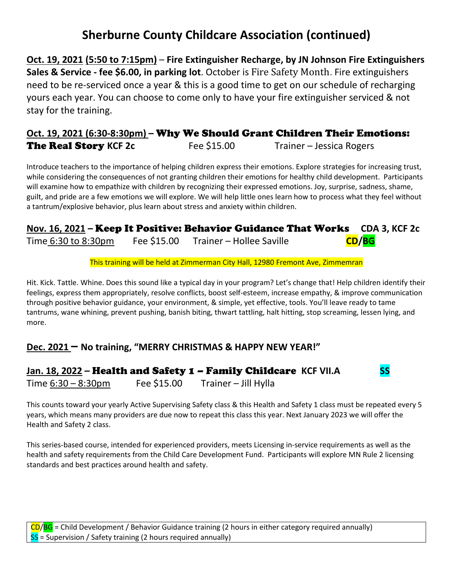## **Sherburne County Childcare Association (continued)**

**Oct. 19, 2021 (5:50 to 7:15pm)** – **Fire Extinguisher Recharge, by JN Johnson Fire Extinguishers Sales & Service - fee \$6.00, in parking lot**. October is Fire Safety Month. Fire extinguishers need to be re-serviced once a year & this is a good time to get on our schedule of recharging yours each year. You can choose to come only to have your fire extinguisher serviced & not stay for the training.

#### **Oct. 19, 2021 (6:30-8:30pm) –** Why We Should Grant Children Their Emotions: **The Real Story KCF 2c** Fee \$15.00 Trainer – Jessica Rogers

Introduce teachers to the importance of helping children express their emotions. Explore strategies for increasing trust, while considering the consequences of not granting children their emotions for healthy child development. Participants will examine how to empathize with children by recognizing their expressed emotions. Joy, surprise, sadness, shame, guilt, and pride are a few emotions we will explore. We will help little ones learn how to process what they feel without a tantrum/explosive behavior, plus learn about stress and anxiety within children.

#### **Nov. 16, 2021 –** Keep It Positive: Behavior Guidance That Works **CDA 3, KCF 2c** Time 6:30 to 8:30pm Fee \$15.00 Trainer – Hollee Saville **CD/BG**

This training will be held at Zimmerman City Hall, 12980 Fremont Ave, Zimmemran

Hit. Kick. Tattle. Whine. Does this sound like a typical day in your program? Let's change that! Help children identify their feelings, express them appropriately, resolve conflicts, boost self-esteem, increase empathy, & improve communication through positive behavior guidance, your environment, & simple, yet effective, tools. You'll leave ready to tame tantrums, wane whining, prevent pushing, banish biting, thwart tattling, halt hitting, stop screaming, lessen lying, and more.

#### **Dec. 2021 – No training, "MERRY CHRISTMAS & HAPPY NEW YEAR!"**

#### Jan. 18, 2022 – **Health and Safety 1 – Family Childcare** KCF VII.A SS

Time  $6:30 - 8:30$ pm Fee \$15.00 Trainer – Jill Hylla

This counts toward your yearly Active Supervising Safety class & this Health and Safety 1 class must be repeated every 5 years, which means many providers are due now to repeat this class this year. Next January 2023 we will offer the Health and Safety 2 class.

This series-based course, intended for experienced providers, meets Licensing in-service requirements as well as the health and safety requirements from the Child Care Development Fund. Participants will explore MN Rule 2 licensing standards and best practices around health and safety.